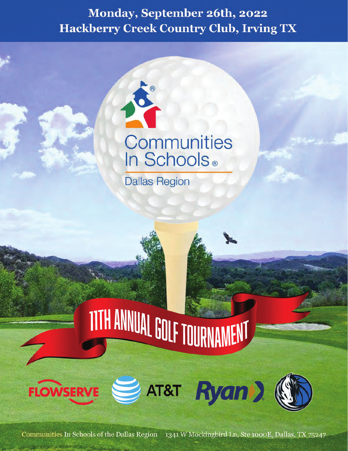## Monday, September 26th, 2022 **Hackberry Creek Country Club, Irving TX**



**Dallas Region** 

# TITH ANNUAL GOLF TOURNAMENT



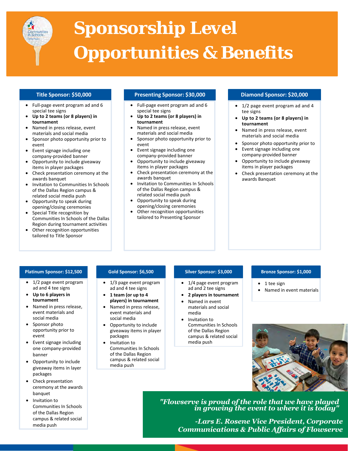

## *Sponsorship Level Opportunities & Benefits*

#### **Title Sponsor: \$50,000**

- Full-page event program ad and 6 special tee signs
- **Up to 2 teams (or 8 players) in tournament**
- Named in press release, event materials and social media
- Sponsor photo opportunity prior to event
- Event signage including one company-provided banner
- Opportunity to include giveaway items in player packages
- Check presentation ceremony at the awards banquet
- Invitation to Communities In Schools of the Dallas Region campus & related social media push
- Opportunity to speak during opening/closing ceremonies
- Special Title recognition by Communities In Schools of the Dallas Region during tournament activities
- Other recognition opportunities tailored to Title Sponsor

#### **Presenting Sponsor: \$30,000 Diamond Sponsor: \$20,000**

- Full-page event program ad and 6 special tee signs
- **Up to 2 teams (or 8 players) in tournament**
- Named in press release, event materials and social media
- Sponsor photo opportunity prior to event
- Event signage including one company-provided banner
- Opportunity to include giveaway items in player packages
- Check presentation ceremony at the awards banquet
- Invitation to Communities In Schools of the Dallas Region campus & related social media push
- Opportunity to speak during opening/closing ceremonies
- Other recognition opportunities tailored to Presenting Sponsor

- 1/2 page event program ad and 4 tee signs
- **Up to 2 teams (or 8 players) in tournament**
- Named in press release, event materials and social media
- Sponsor photo opportunity prior to
- Event signage including one company-provided banner
- Opportunity to include giveaway items in player packages
- Check presentation ceremony at the awards Banquet

#### **Platinum Sponsor: \$12,500**

- 1/2 page event program ad and 4 tee signs
- **Up to 6 players in tournament**
- Named in press release, event materials and social media
- Sponsor photo opportunity prior to event
- Event signage including one company-provided banner
- Opportunity to include giveaway items in layer packages
- Check presentation ceremony at the awards banquet
- Invitation to Communities In Schools of the Dallas Region campus & related social media push

#### **Gold Sponsor: \$6,500**

- 1/3 page event program ad and 4 tee signs
- **1 team (or up to 4 players) in tournament**
- Named in press release, event materials and social media
- Opportunity to include giveaway items in player packages
- Invitation to Communities In Schools of the Dallas Region campus & related social media push

#### **Silver Sponsor: \$3,000**

- 1/4 page event program ad and 2 tee signs
- **2 players in tournament** • Named in event materials and social media
- Invitation to Communities In Schools of the Dallas Region campus & related social media push

#### **Bronze Sponsor: \$1,000**

- 1 tee sign
- Named in event materials



*"Flowserve is proud of the role that we have played in growing the event to where it is today"*

*-Lars E. Rosene Vice President, Corporate Communications & Public Affairs of Flowserve*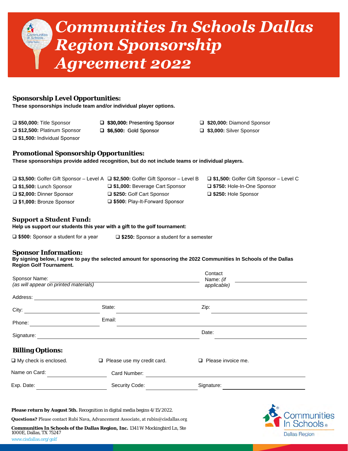

 **\$20,000:** Diamond Sponsor **\$3,000:** Silver Sponsor

#### **Sponsorship Level Opportunities:**

**These sponsorships include team and/or individual player options.**

- **\$50,000:** Title Sponsor **\$12,500:** Platinum Sponsor
- **\$30,000:** Presenting Sponsor
- **\$6,500:** Gold Sponsor
- **\$1,500:** Individual Sponsor
- 
- **Promotional Sponsorship Opportunities:**

**These sponsorships provide added recognition, but do not include teams or individual players.**

|                               | □ \$3,500: Golfer Gift Sponsor - Level A □ \$2,500: Golfer Gift Sponsor - Level B | $\Box$ \$1,500: Golfer Gift Sponsor – Level C |
|-------------------------------|-----------------------------------------------------------------------------------|-----------------------------------------------|
| $\Box$ \$1,500: Lunch Sponsor | □ \$1,000: Beverage Cart Sponsor                                                  | □ \$750: Hole-In-One Sponsor                  |
| □ \$2,000: Dinner Sponsor     | □ \$250: Golf Cart Sponsor                                                        | □ \$250: Hole Sponsor                         |
| □ \$1,000: Bronze Sponsor     | □ \$500: Play-It-Forward Sponsor                                                  |                                               |

#### **Support a Student Fund:**

**Help us support our students this year with a gift to the golf tournament:** 

**\$500:** Sponsor a student for a year **\$250:** Sponsor a student for a semester

#### **Sponsor Information:**

**By signing below, I agree to pay the selected amount for sponsoring the 2022 Communities In Schools of the Dallas Region Golf Tournament.**

| Sponsor Name:<br>(as will appear on printed materials) |                                                                             | Contact<br>Name: (if<br>applicable) |                |
|--------------------------------------------------------|-----------------------------------------------------------------------------|-------------------------------------|----------------|
| Address:                                               |                                                                             |                                     |                |
|                                                        | State:                                                                      | Zip:                                |                |
| Phone:                                                 | Email:                                                                      |                                     |                |
| Signature:                                             |                                                                             | Date:                               |                |
| <b>Billing Options:</b>                                |                                                                             |                                     |                |
| $\Box$ My check is enclosed.                           | $\Box$ Please use my credit card.                                           | $\Box$ Please invoice me.           |                |
| Name on Card:                                          | Card Number:                                                                |                                     |                |
| Exp. Date:                                             | Security Code:                                                              | Signature:                          |                |
|                                                        | Please return by August 5th. Recognition in digital media begins 4/15/2022. |                                     | O <sub>2</sub> |





**Communities In Schools of the Dallas Region, Inc.** 1341 W Mockingbird Ln, Ste 1000E, Dallas, TX 75247 www.cisdallas.org/golf